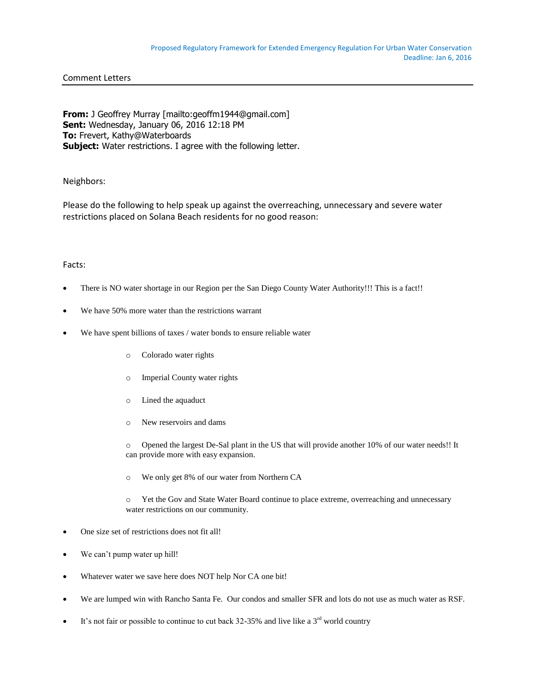## Comment Letters

**From:** J Geoffrey Murray [mailto:geoffm1944@gmail.com] **Sent:** Wednesday, January 06, 2016 12:18 PM **To:** Frevert, Kathy@Waterboards **Subject:** Water restrictions. I agree with the following letter.

# Neighbors:

Please do the following to help speak up against the overreaching, unnecessary and severe water restrictions placed on Solana Beach residents for no good reason:

## Facts:

- There is NO water shortage in our Region per the San Diego County Water Authority!!! This is a fact!!
- We have 50% more water than the restrictions warrant
- We have spent billions of taxes / water bonds to ensure reliable water
	- o Colorado water rights
	- o Imperial County water rights
	- o Lined the aquaduct
	- o New reservoirs and dams

o Opened the largest De-Sal plant in the US that will provide another 10% of our water needs!! It can provide more with easy expansion.

o We only get 8% of our water from Northern CA

o Yet the Gov and State Water Board continue to place extreme, overreaching and unnecessary water restrictions on our community.

- One size set of restrictions does not fit all!
- We can't pump water up hill!
- Whatever water we save here does NOT help Nor CA one bit!
- We are lumped win with Rancho Santa Fe. Our condos and smaller SFR and lots do not use as much water as RSF.
- It's not fair or possible to continue to cut back 32-35% and live like a  $3<sup>rd</sup>$  world country